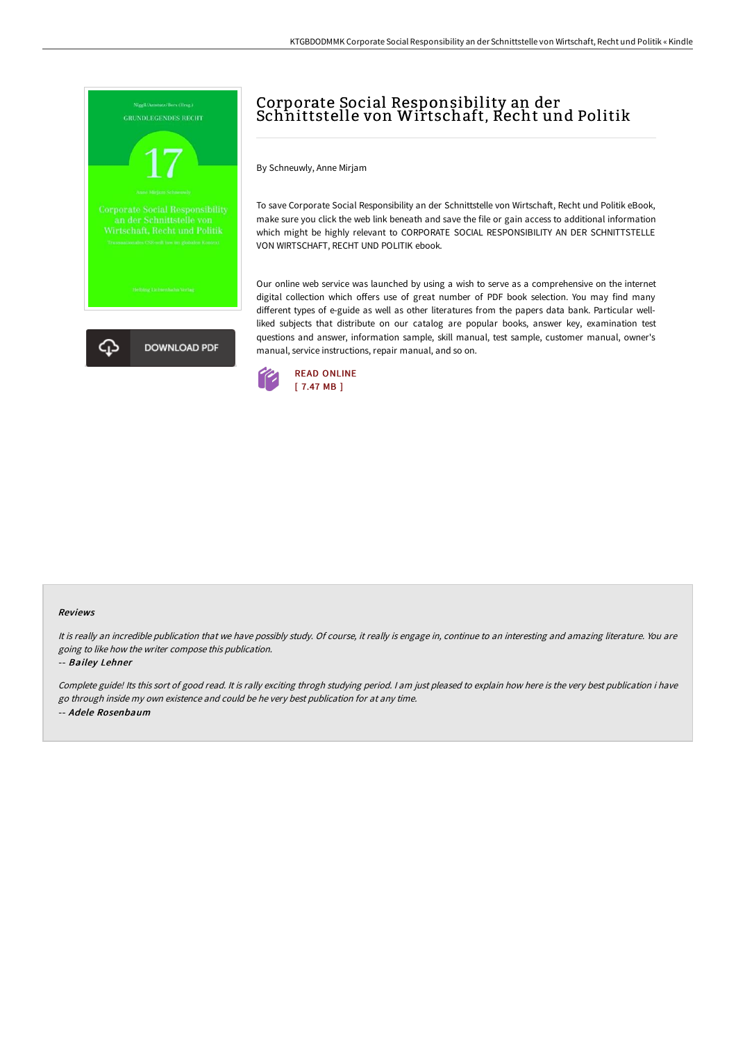

# Corporate Social Responsibility an der Schnittstelle von Wirtschaft, Recht und Politik

By Schneuwly, Anne Mirjam

To save Corporate Social Responsibility an der Schnittstelle von Wirtschaft. Recht und Politik eBook, make sure you click the web link beneath and save the file or gain access to additional information which might be highly relevant to CORPORATE SOCIAL RESPONSIBILITY AN DER SCHNITTSTELLE VON WIRTSCHAFT, RECHT UND POLITIK ebook.

Our online web service was launched by using a wish to serve as a comprehensive on the internet digital collection which offers use of great number of PDF book selection. You may find many different types of e-guide as well as other literatures from the papers data bank. Particular wellliked subjects that distribute on our catalog are popular books, answer key, examination test questions and answer, information sample, skill manual, test sample, customer manual, owner's manual, service instructions, repair manual, and so on.



#### Reviews

It is really an incredible publication that we have possibly study. Of course, it really is engage in, continue to an interesting and amazing literature. You are going to like how the writer compose this publication.

-- Bailey Lehner

Complete guide! Its this sort of good read. It is rally exciting throgh studying period. <sup>I</sup> am just pleased to explain how here is the very best publication i have go through inside my own existence and could be he very best publication for at any time. -- Adele Rosenbaum